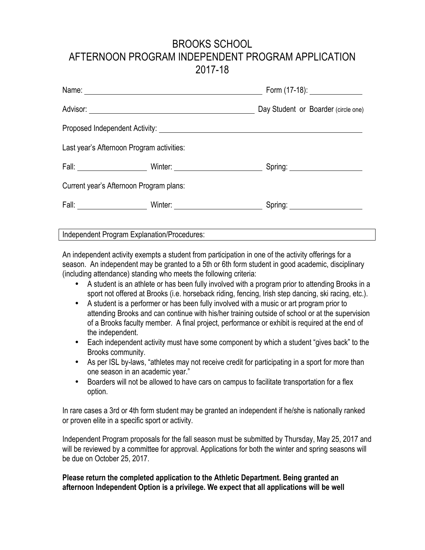# BROOKS SCHOOL AFTERNOON PROGRAM INDEPENDENT PROGRAM APPLICATION 2017-18

| Name: Name and the second contract of the second contract of the second contract of the second contract of the second contract of the second contract of the second contract of the second contract of the second contract of |                                                                                                                                                                                                                               | Form (17-18): _______________        |  |
|-------------------------------------------------------------------------------------------------------------------------------------------------------------------------------------------------------------------------------|-------------------------------------------------------------------------------------------------------------------------------------------------------------------------------------------------------------------------------|--------------------------------------|--|
|                                                                                                                                                                                                                               | Advisor: New York Changes and Changes and Changes and Changes and Changes and Changes and Changes and Changes and Changes and Changes and Changes and Changes and Changes and Changes and Changes and Changes and Changes and | Day Student or Boarder (circle one)  |  |
|                                                                                                                                                                                                                               |                                                                                                                                                                                                                               |                                      |  |
|                                                                                                                                                                                                                               | Last year's Afternoon Program activities:                                                                                                                                                                                     |                                      |  |
|                                                                                                                                                                                                                               |                                                                                                                                                                                                                               | Spring: ________________________     |  |
|                                                                                                                                                                                                                               | Current year's Afternoon Program plans:                                                                                                                                                                                       |                                      |  |
|                                                                                                                                                                                                                               |                                                                                                                                                                                                                               | Spring: <u>_____________________</u> |  |
|                                                                                                                                                                                                                               |                                                                                                                                                                                                                               |                                      |  |

Independent Program Explanation/Procedures:

An independent activity exempts a student from participation in one of the activity offerings for a season. An independent may be granted to a 5th or 6th form student in good academic, disciplinary (including attendance) standing who meets the following criteria:

- A student is an athlete or has been fully involved with a program prior to attending Brooks in a sport not offered at Brooks (i.e. horseback riding, fencing, Irish step dancing, ski racing, etc.).
- A student is a performer or has been fully involved with a music or art program prior to attending Brooks and can continue with his/her training outside of school or at the supervision of a Brooks faculty member. A final project, performance or exhibit is required at the end of the independent.
- Each independent activity must have some component by which a student "gives back" to the Brooks community.
- As per ISL by-laws, "athletes may not receive credit for participating in a sport for more than one season in an academic year."
- Boarders will not be allowed to have cars on campus to facilitate transportation for a flex option.

In rare cases a 3rd or 4th form student may be granted an independent if he/she is nationally ranked or proven elite in a specific sport or activity.

Independent Program proposals for the fall season must be submitted by Thursday, May 25, 2017 and will be reviewed by a committee for approval. Applications for both the winter and spring seasons will be due on October 25, 2017.

## **Please return the completed application to the Athletic Department. Being granted an afternoon Independent Option is a privilege. We expect that all applications will be well**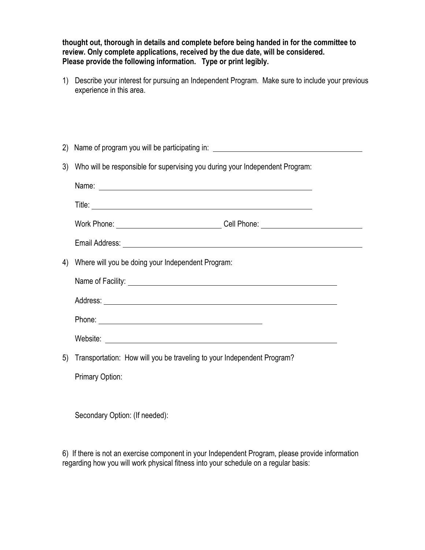**thought out, thorough in details and complete before being handed in for the committee to review. Only complete applications, received by the due date, will be considered. Please provide the following information. Type or print legibly.**

1) Describe your interest for pursuing an Independent Program. Make sure to include your previous experience in this area.

| (2) | Name of program you will be participating in: __________________________________                                                                                                                                               |  |  |
|-----|--------------------------------------------------------------------------------------------------------------------------------------------------------------------------------------------------------------------------------|--|--|
|     | 3) Who will be responsible for supervising you during your Independent Program:                                                                                                                                                |  |  |
|     |                                                                                                                                                                                                                                |  |  |
|     |                                                                                                                                                                                                                                |  |  |
|     | Work Phone: _____________________________Cell Phone: ___________________________                                                                                                                                               |  |  |
|     |                                                                                                                                                                                                                                |  |  |
| 4)  | Where will you be doing your Independent Program:                                                                                                                                                                              |  |  |
|     |                                                                                                                                                                                                                                |  |  |
|     |                                                                                                                                                                                                                                |  |  |
|     | Phone: Note and the second contract of the second contract of the second contract of the second contract of the second contract of the second contract of the second contract of the second contract of the second contract of |  |  |
|     |                                                                                                                                                                                                                                |  |  |
| 5)  | Transportation: How will you be traveling to your Independent Program?                                                                                                                                                         |  |  |
|     | Primary Option:                                                                                                                                                                                                                |  |  |

Secondary Option: (If needed):

6) If there is not an exercise component in your Independent Program, please provide information regarding how you will work physical fitness into your schedule on a regular basis: